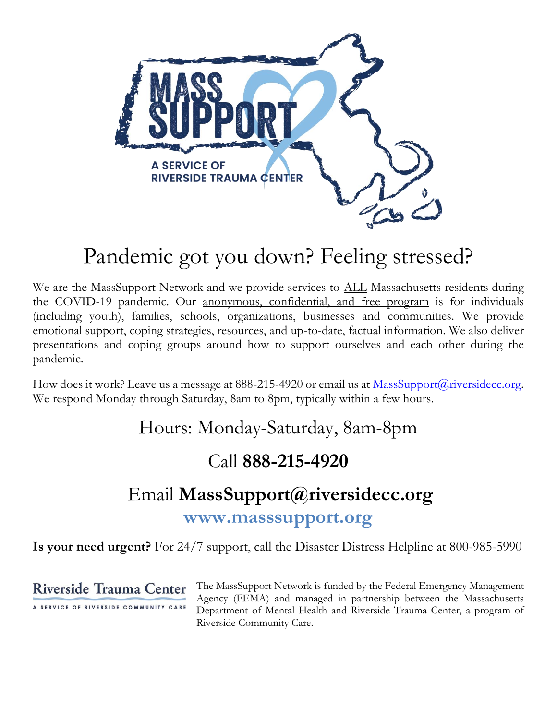

# Pandemic got you down? Feeling stressed?

We are the MassSupport Network and we provide services to **ALL** Massachusetts residents during the COVID-19 pandemic. Our anonymous, confidential, and free program is for individuals (including youth), families, schools, organizations, businesses and communities. We provide emotional support, coping strategies, resources, and up-to-date, factual information. We also deliver presentations and coping groups around how to support ourselves and each other during the pandemic.

How does it work? Leave us a message at 888-215-4920 or email us at [MassSupport@riversidecc.org.](mailto:MassSupport@riversidecc.org) We respond Monday through Saturday, 8am to 8pm, typically within a few hours.

Hours: Monday-Saturday, 8am-8pm

# Call **888-215-4920**

# Email **[MassSupport@riversidecc.org](mailto:MassSupport@riversidecc.org)**

**[www.masssupport.org](http://www.masssupport.org/)**

**Is your need urgent?** For 24/7 support, call the Disaster Distress Helpline at 800-985-5990

**Riverside Trauma Center** 

A SERVICE OF RIVERSIDE COMMUNITY CARE

The MassSupport Network is funded by the Federal Emergency Management Agency (FEMA) and managed in partnership between the Massachusetts Department of Mental Health and Riverside Trauma Center, a program of Riverside Community Care.